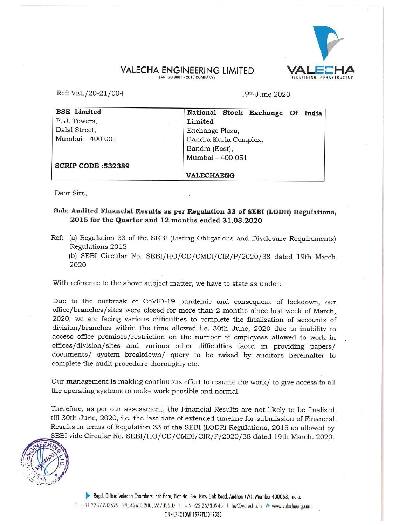## VALECHA ENGINEERING LIMITED

|                                | <b>VALECHA ENGINEERING LIMITED</b>                    |
|--------------------------------|-------------------------------------------------------|
|                                | (AN ISO 9001 - 2015 COMPANY)<br><b>REDEFINING INF</b> |
| Ref: VEL/20-21/004             | 19th June 2020                                        |
|                                |                                                       |
| <b>BSE</b> Limited             | National Stock Exchange Of India                      |
| P. J. Towers,<br>Dalal Street, | Limited                                               |
| Mumbai - 400 001               | Exchange Plaza,<br>Bandra Kurla Complex,              |
|                                | Bandra (East),                                        |
|                                | Mumbai - 400 051                                      |
| <b>SCRIP CODE:532389</b>       |                                                       |
|                                | <b>VALECHAENG</b>                                     |

Dear Sirs,

## Sub: Audited Financial Results as per Regulation 33 of SEBI (LODR) Regulations, 2015 tor the Quarter and 12 months ended 31.03.2020

Ref: (a) Regulation 33 of the SEBI (Listing Obligations and Disclosure Requirements) Regulations 2015

(b) SEBI Circular No. SEBI/HO/CD/CMD1/CIR/P/2020/38 dated 19th March 2020

With reference to the above subject matter, we have to state as under:

Due to the outbreak of CoVID-19 pandemic and consequent of lockdown, our office/branches/sites were closed for more than 2 months since last week of March, 2020; we are facing various difficulties to complete the finalization of accounts of division/branches within the time allowed i.c. 30th June, 2020 due to inability to access office premises/restriction on the number of employees allowed to work in offices/division/sites and various other difficulties faced in providing papers/ documents/ system breakdown/ query to be raised by auditors hereinafter to complete the audit procedure thoroughly etc.

Our management is making continuous effort to resume the work/ to give access to all the operating systems to make work possible and normal.

Therefore, as per our assessment, the Financial Results are not likely to be finalized till 30th June, 2020, i.e. the last date of extended timeline for submission of Financial Results in terms of Regulation 33 of the SEBI (LODR) Regulations, 2015 as allowed by SEBI vide Circular No. SEBI/HO/CD/CMD1/CIR/P/2020/38 dated 19th March. 2020.



D> Regd. Otfice: Valecha Chambers, 4th floor, Plot No. B-6, New Link Road, Andheri (W), Mumbai 400053, India. T. + 91 22 26733625 - 29, 42633200, 26/3358/ T. + 91-22-26733945 L. hu@vulechu.in W: www.vulechueng.com CIN - L74210MI11977PLC019535